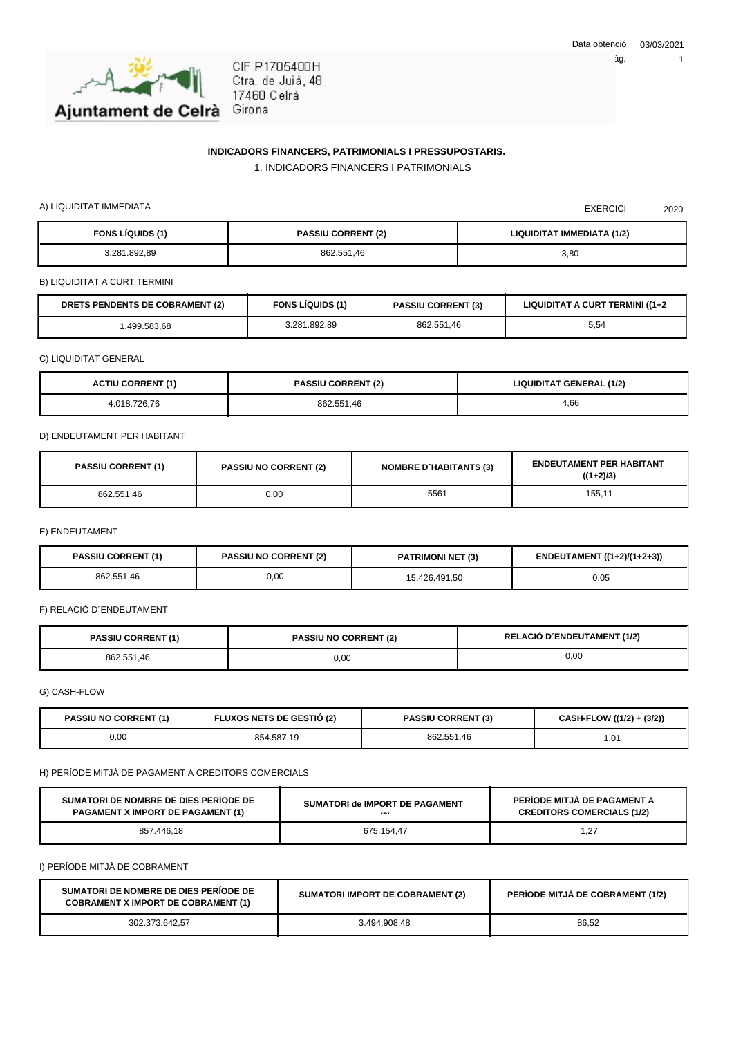

CIF P1705400H Ctra. de Juià, 48 17460 Celrà Girona

## **INDICADORS FINANCERS, PATRIMONIALS I PRESSUPOSTARIS.**

1. INDICADORS FINANCERS I PATRIMONIALS

A) LIQUIDITAT IMMEDIATA 2020

| <b>FONS LÍQUIDS (1)</b> | <b>PASSIU CORRENT (2)</b> | LIQUIDITAT IMMEDIATA (1/2) |
|-------------------------|---------------------------|----------------------------|
| 3.281.892.89            | 862.551.46                | 3,80                       |

B) LIQUIDITAT A CURT TERMINI

| <b>DRETS PENDENTS DE COBRAMENT (2)</b> | <b>FONS LIQUIDS (1)</b> | <b>PASSIU CORRENT (3)</b> | LIQUIDITAT A CURT TERMINI ((1+2) |
|----------------------------------------|-------------------------|---------------------------|----------------------------------|
| .499.583.68                            | 3.281.892,89            | 862.551.46                | 5,54                             |

C) LIQUIDITAT GENERAL

| <b>ACTIU CORRENT (1)</b> | <b>PASSIU CORRENT (2)</b> | <b>LIQUIDITAT GENERAL (1/2)</b> |
|--------------------------|---------------------------|---------------------------------|
| 4.018.726.76             | 862.551,46                | 4,66                            |

D) ENDEUTAMENT PER HABITANT

| <b>PASSIU CORRENT (1)</b> | <b>PASSIU NO CORRENT (2)</b> | <b>NOMBRE D'HABITANTS (3)</b> | <b>ENDEUTAMENT PER HABITANT</b><br>$((1+2)/3)$ |
|---------------------------|------------------------------|-------------------------------|------------------------------------------------|
| 862.551.46                | 0,00                         | 5561                          | 155,11                                         |

E) ENDEUTAMENT

| <b>PASSIU CORRENT (1)</b> | <b>PASSIU NO CORRENT (2)</b> | <b>PATRIMONI NET (3)</b> | ENDEUTAMENT ((1+2)/(1+2+3)) |
|---------------------------|------------------------------|--------------------------|-----------------------------|
| 862.551.46                | 0,00                         | 15.426.491.50            | 0,05                        |

F) RELACIÓ D´ENDEUTAMENT

| <b>PASSIU CORRENT (1)</b> | <b>PASSIU NO CORRENT (2)</b> | <b>RELACIÓ D'ENDEUTAMENT (1/2)</b> |
|---------------------------|------------------------------|------------------------------------|
| 862.551.46                | 0.00                         | 0,00                               |

G) CASH-FLOW

| <b>PASSIU NO CORRENT (1)</b> | <b>FLUXOS NETS DE GESTIO (2)</b> | <b>PASSIU CORRENT (3)</b> | CASH-FLOW ((1/2) + (3/2)) |
|------------------------------|----------------------------------|---------------------------|---------------------------|
| 0,00                         | 854.587,19                       | 862.551.46                | 01. ،                     |

H) PERÍODE MITJÀ DE PAGAMENT A CREDITORS COMERCIALS

| SUMATORI DE NOMBRE DE DIES PERIODE DE    | SUMATORI de IMPORT DE PAGAMENT | PERIODE MITJA DE PAGAMENT A       |
|------------------------------------------|--------------------------------|-----------------------------------|
| <b>PAGAMENT X IMPORT DE PAGAMENT (1)</b> | $\sim$                         | <b>CREDITORS COMERCIALS (1/2)</b> |
| 857.446.18                               | 675.154.47                     | 27، ،                             |

I) PERÍODE MITJÀ DE COBRAMENT

| SUMATORI DE NOMBRE DE DIES PERIODE DE<br><b>COBRAMENT X IMPORT DE COBRAMENT (1)</b> | <b>SUMATORI IMPORT DE COBRAMENT (2)</b> | <b>PERIODE MITJA DE COBRAMENT (1/2)</b> |
|-------------------------------------------------------------------------------------|-----------------------------------------|-----------------------------------------|
| 302.373.642.57                                                                      | 3.494.908.48                            | 86.52                                   |